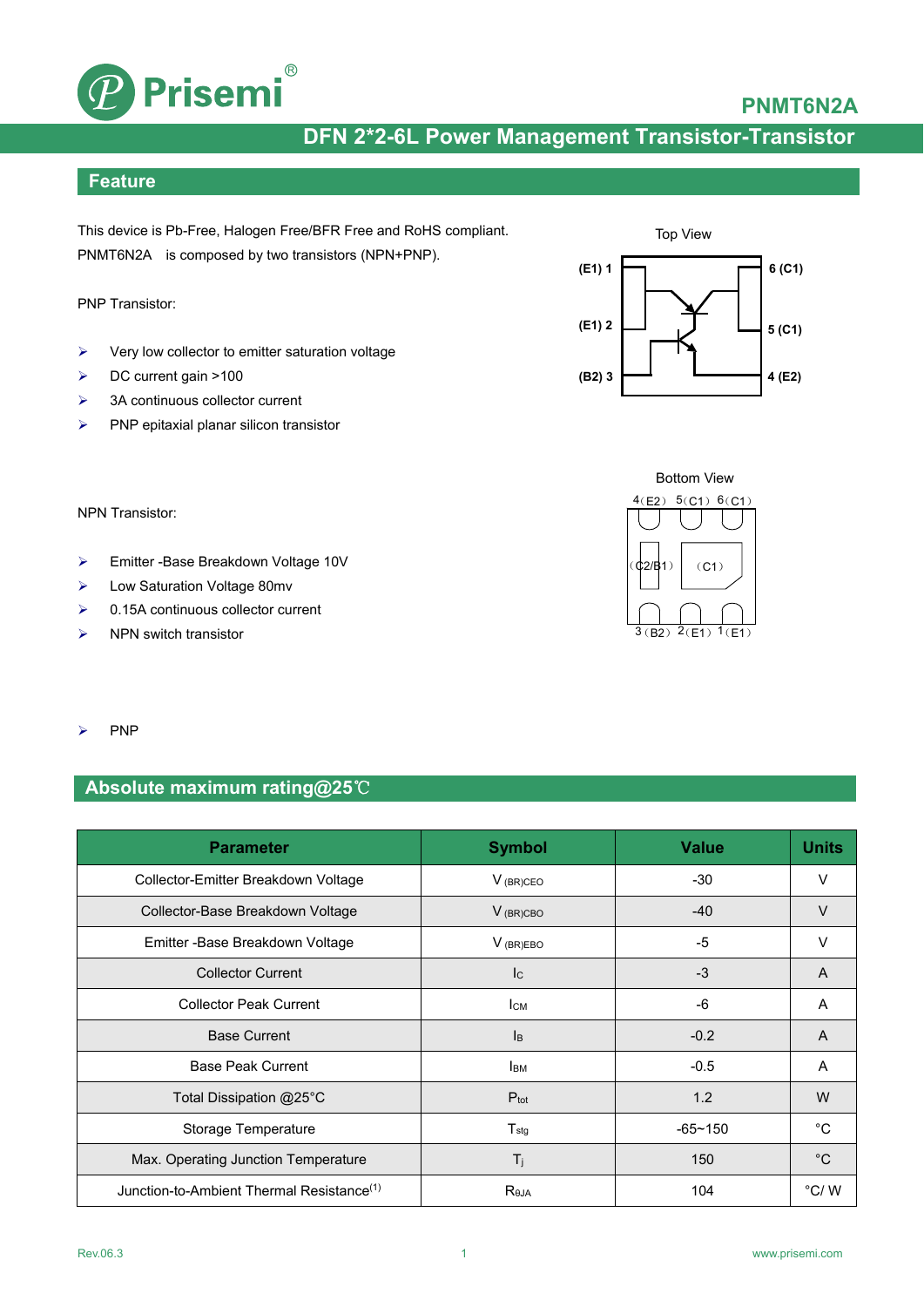

### **PNMT6N2A**

# **DFN 2\*2-6L Power Management Transistor-Transistor**

#### **Feature**

This device is Pb-Free, Halogen Free/BFR Free and RoHS compliant. PNMT6N2A is composed by two transistors (NPN+PNP).

PNP Transistor:

- $\triangleright$  Very low collector to emitter saturation voltage
- DC current gain >100
- $\geq$  3A continuous collector current
- $\triangleright$  PNP epitaxial planar silicon transistor





NPN Transistor:

- Emitter -Base Breakdown Voltage 10V
- Low Saturation Voltage 80mv
- $\geq$  0.15A continuous collector current
- $\triangleright$  NPN switch transistor
- PNP

### **Absolute maximum rating@25**℃

| <b>Parameter</b>                                      | <b>Symbol</b>             | <b>Value</b> | <b>Units</b> |
|-------------------------------------------------------|---------------------------|--------------|--------------|
| Collector-Emitter Breakdown Voltage                   | $V_{(BR)CEO}$             | $-30$        | V            |
| Collector-Base Breakdown Voltage                      | V (BR)CBO                 | $-40$        | $\vee$       |
| Emitter - Base Breakdown Voltage                      | $V_{(BR)EBO}$             | $-5$         | V            |
| <b>Collector Current</b>                              | $\mathsf{I}_{\mathsf{C}}$ | $-3$         | A            |
| <b>Collector Peak Current</b>                         | Iсм                       | -6           | A            |
| <b>Base Current</b>                                   | Iв                        | $-0.2$       | A            |
| <b>Base Peak Current</b>                              | Iвм                       | $-0.5$       | A            |
| Total Dissipation @25°C                               | $P_{\text{tot}}$          | 1.2          | W            |
| Storage Temperature                                   | $T_{\text{stg}}$          | $-65 - 150$  | $^{\circ}$ C |
| Max. Operating Junction Temperature                   | $T_j$                     | 150          | $^{\circ}C$  |
| Junction-to-Ambient Thermal Resistance <sup>(1)</sup> | Reja                      | 104          | °C/W         |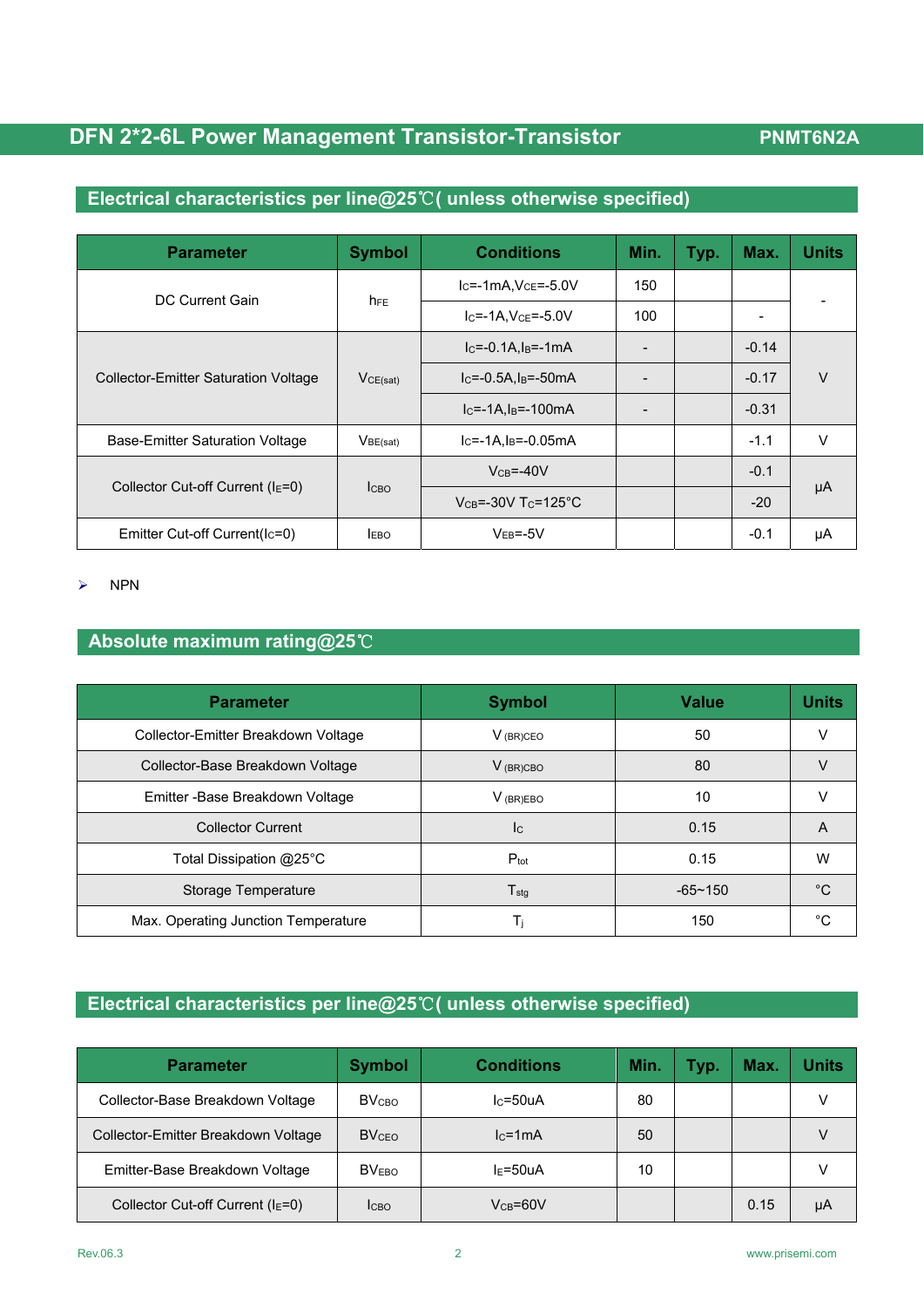### **Electrical characteristics per line@25**℃**( unless otherwise specified)**

| <b>Parameter</b>                     | <b>Symbol</b> | <b>Conditions</b><br>Min.             |                          | Typ. | Max.                         | <b>Units</b> |
|--------------------------------------|---------------|---------------------------------------|--------------------------|------|------------------------------|--------------|
|                                      | $h_{FE}$      | $IC=-1mA, VCE=-5.0V$                  | 150                      |      |                              |              |
| DC Current Gain                      |               | $I_C = -1A$ , $V_{CE} = -5.0V$        | 100                      |      | $\qquad \qquad \blacksquare$ |              |
| Collector-Emitter Saturation Voltage | VCE(sat)      | $IC=-0.1A, IB=-1mA$                   | $\overline{\phantom{0}}$ |      | $-0.14$                      | $\vee$       |
|                                      |               | $IC=-0.5A, IB=-50mA$                  |                          |      | $-0.17$                      |              |
|                                      |               | $IC=-1A, IB=-100mA$                   |                          |      | $-0.31$                      |              |
| Base-Emitter Saturation Voltage      | $V_{BE(sat)}$ | $IC=-1A,IB=-0.05mA$                   |                          |      | $-1.1$                       | v            |
| Collector Cut-off Current ( $IE=0$ ) | <b>I</b> CBO  | $VCB=-40V$                            |                          |      | $-0.1$                       |              |
|                                      |               | $V_{CB} = -30V$ T <sub>c</sub> =125°C |                          |      | $-20$                        | μA           |
| Emitter Cut-off Current( $lC=0$ )    | <b>LEBO</b>   | $V_{EB} = -5V$                        |                          |      | $-0.1$                       | μA           |

 $\triangleright$  NPN

### **Absolute maximum rating@25**℃

| <b>Parameter</b>                    | <b>Symbol</b>               | <b>Value</b> | <b>Units</b> |
|-------------------------------------|-----------------------------|--------------|--------------|
| Collector-Emitter Breakdown Voltage | $V_{(BR)CEO}$               | 50           | V            |
| Collector-Base Breakdown Voltage    | V <sub>(BR)</sub> CBO       | 80           |              |
| Emitter - Base Breakdown Voltage    | $V_{(BR)EBO}$               | 10           |              |
| <b>Collector Current</b>            | <sub>IC</sub>               | 0.15         | A            |
| Total Dissipation @25°C             | $P_{\text{tot}}$            | 0.15         | w            |
| <b>Storage Temperature</b>          | $\mathsf{T}_{\textsf{stq}}$ | $-65 - 150$  | °C           |
| Max. Operating Junction Temperature | Tı                          | 150          | °∩           |

## **Electrical characteristics per line@25**℃**( unless otherwise specified)**

| <b>Parameter</b>                     | <b>Symbol</b>           | <b>Conditions</b> | Min. | Typ. | Max. | <b>Units</b> |
|--------------------------------------|-------------------------|-------------------|------|------|------|--------------|
| Collector-Base Breakdown Voltage     | <b>BV<sub>CBO</sub></b> | $lc = 50uA$       | 80   |      |      |              |
| Collector-Emitter Breakdown Voltage  | <b>BVCEO</b>            | $lc = 1mA$        | 50   |      |      |              |
| Emitter-Base Breakdown Voltage       | <b>BVEBO</b>            | $IE=50uA$         | 10   |      |      |              |
| Collector Cut-off Current ( $IE=0$ ) | <b>ICBO</b>             | $V_{CB} = 60V$    |      |      | 0.15 | μA           |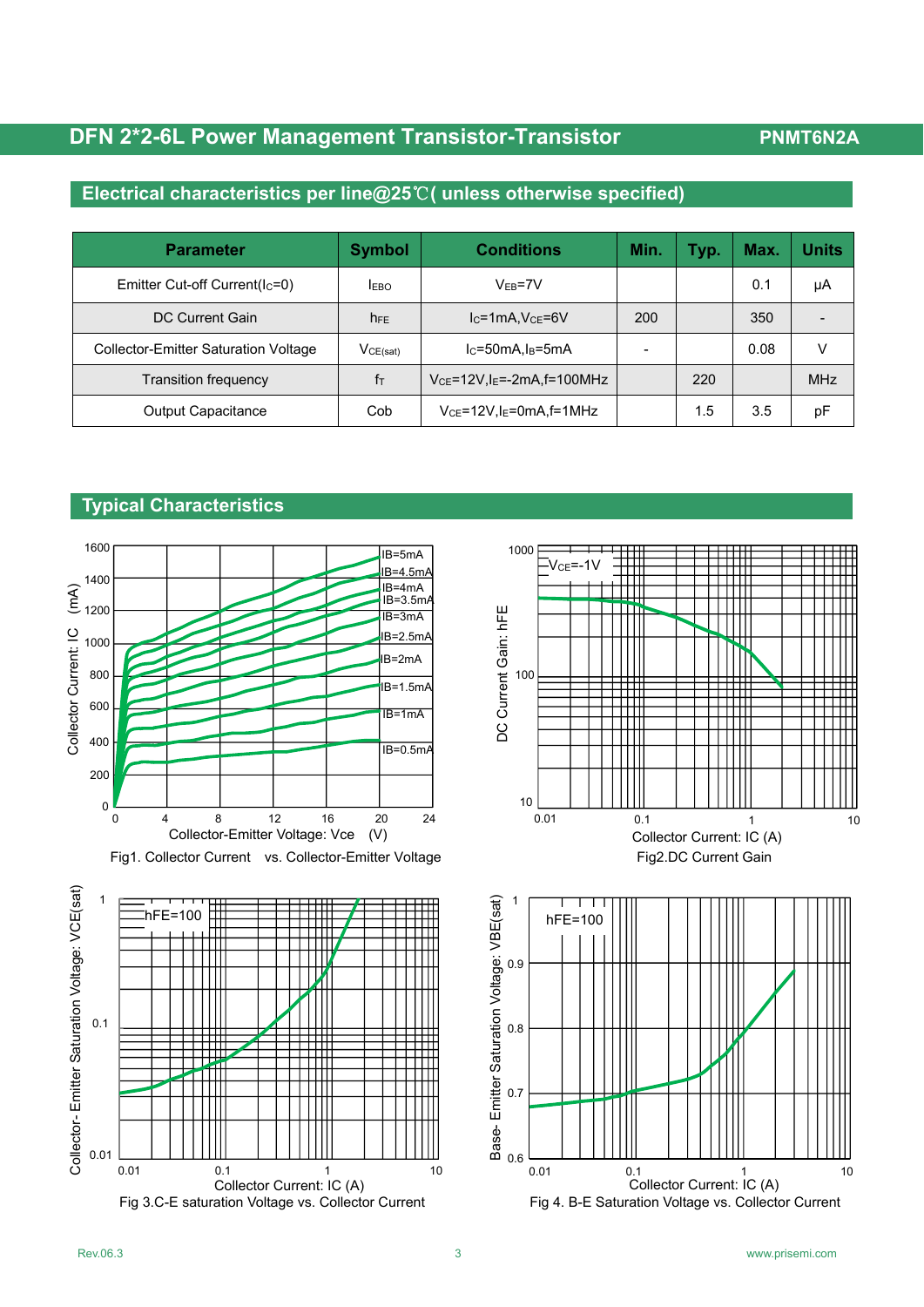### **Electrical characteristics per line@25**℃**( unless otherwise specified)**

| <b>Parameter</b>                            | <b>Conditions</b><br><b>Symbol</b> |                                            | Min. | Typ. | Max. | Units      |
|---------------------------------------------|------------------------------------|--------------------------------------------|------|------|------|------------|
| Emitter Cut-off Current( $IC=0$ )           | <b>IEBO</b>                        | $V_{FB} = 7V$                              |      |      | 0.1  | μA         |
| DC Current Gain                             | <b>h</b> FE                        | $lc=1mA$ , $VCE=6V$                        |      |      | 350  |            |
| <b>Collector-Emitter Saturation Voltage</b> | $IC=50mA, IB=5mA$<br>$V_{CE(sat)}$ |                                            |      |      | 0.08 |            |
| <b>Transition frequency</b>                 | fτ                                 | $VCE=12V, IE=2mA, f=100MHz$                |      | 220  |      | <b>MHz</b> |
| <b>Output Capacitance</b>                   | Cob                                | $V_{CE}$ =12V, I <sub>E</sub> =0mA, f=1MHz |      | 1.5  | 3.5  | рF         |

## **Typical Characteristics**







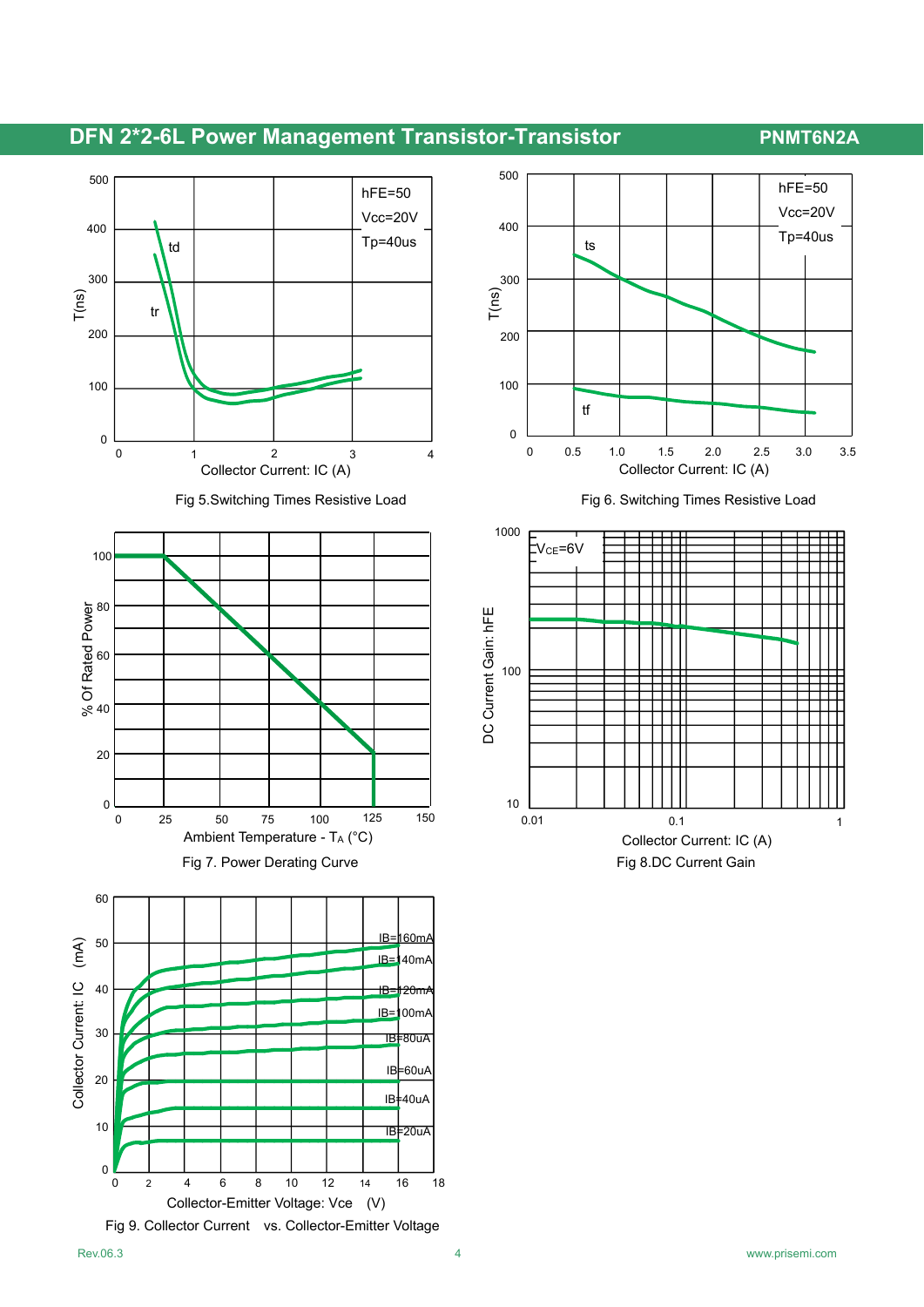







Fig 5.Switching Times Resistive Load Fig 6. Switching Times Resistive Load

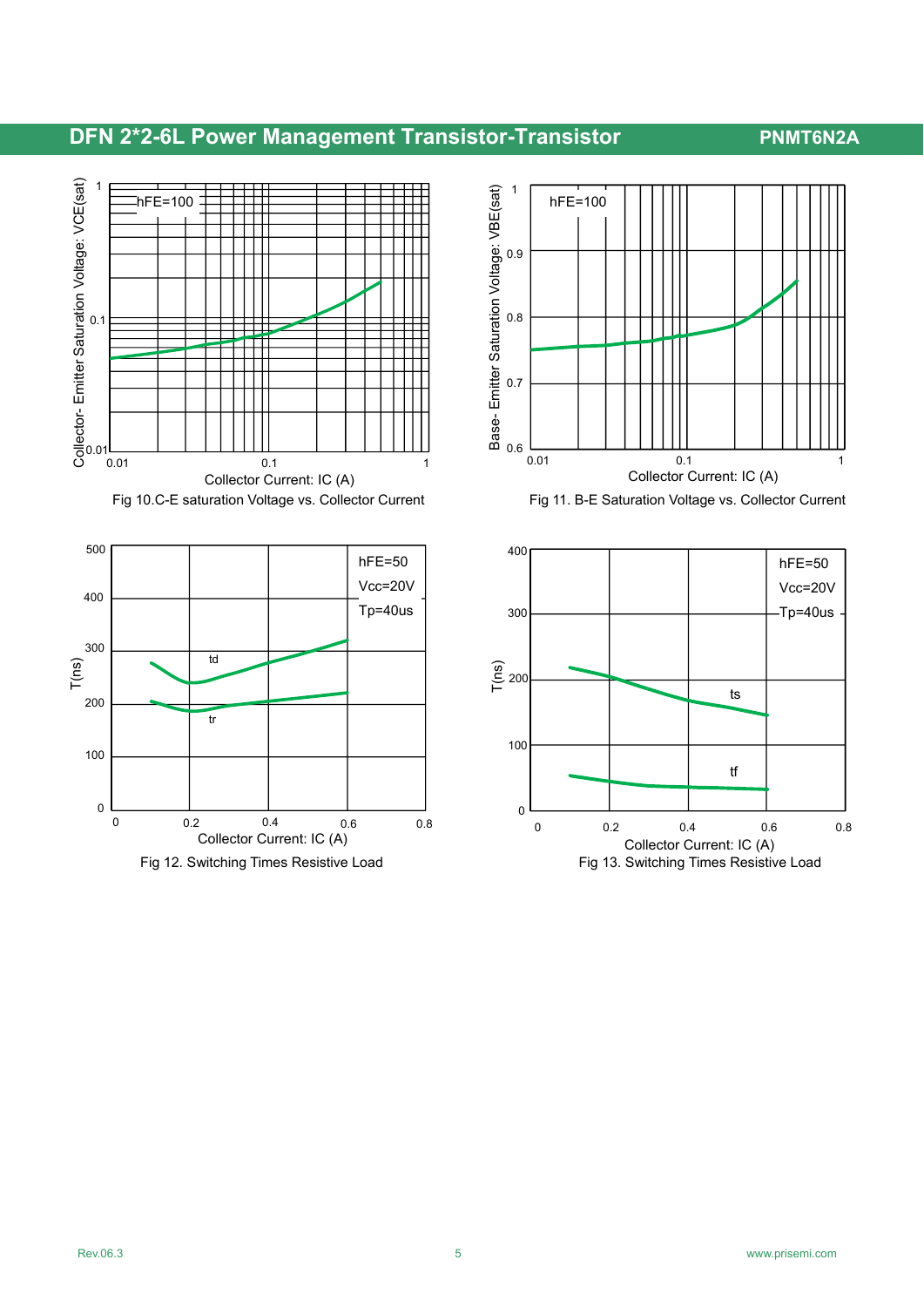







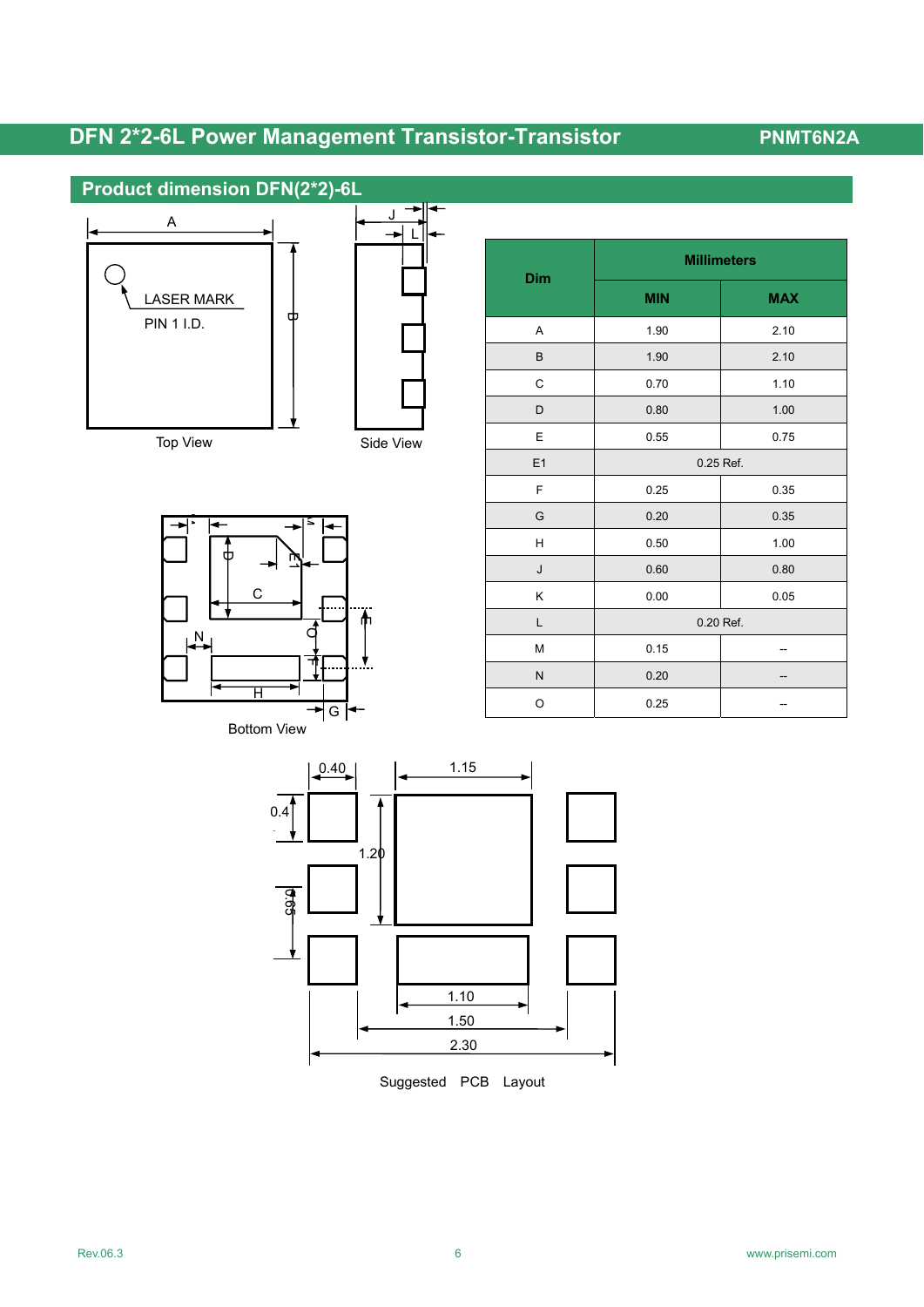

J  $\rightarrow$ L Side View



| Dim | <b>Millimeters</b> |            |  |  |  |
|-----|--------------------|------------|--|--|--|
|     | <b>MIN</b>         | <b>MAX</b> |  |  |  |
| Α   | 1.90               | 2.10       |  |  |  |
| B   | 1.90               | 2.10       |  |  |  |
| C   | 0.70               | 1.10       |  |  |  |
| D   | 0.80               | 1.00       |  |  |  |
| Ε   | 0.55<br>0.75       |            |  |  |  |
| E1  | 0.25 Ref.          |            |  |  |  |
| F   | 0.25               | 0.35       |  |  |  |
| G   | 0.20               | 0.35       |  |  |  |
| н   | 0.50               | 1.00       |  |  |  |
| J   | 0.60               | 0.80       |  |  |  |
| Κ   | 0.00               | 0.05       |  |  |  |
| L   | 0.20 Ref.          |            |  |  |  |
| M   | 0.15               |            |  |  |  |
| N   | 0.20               |            |  |  |  |
| O   | 0.25               |            |  |  |  |



Suggested PCB Layout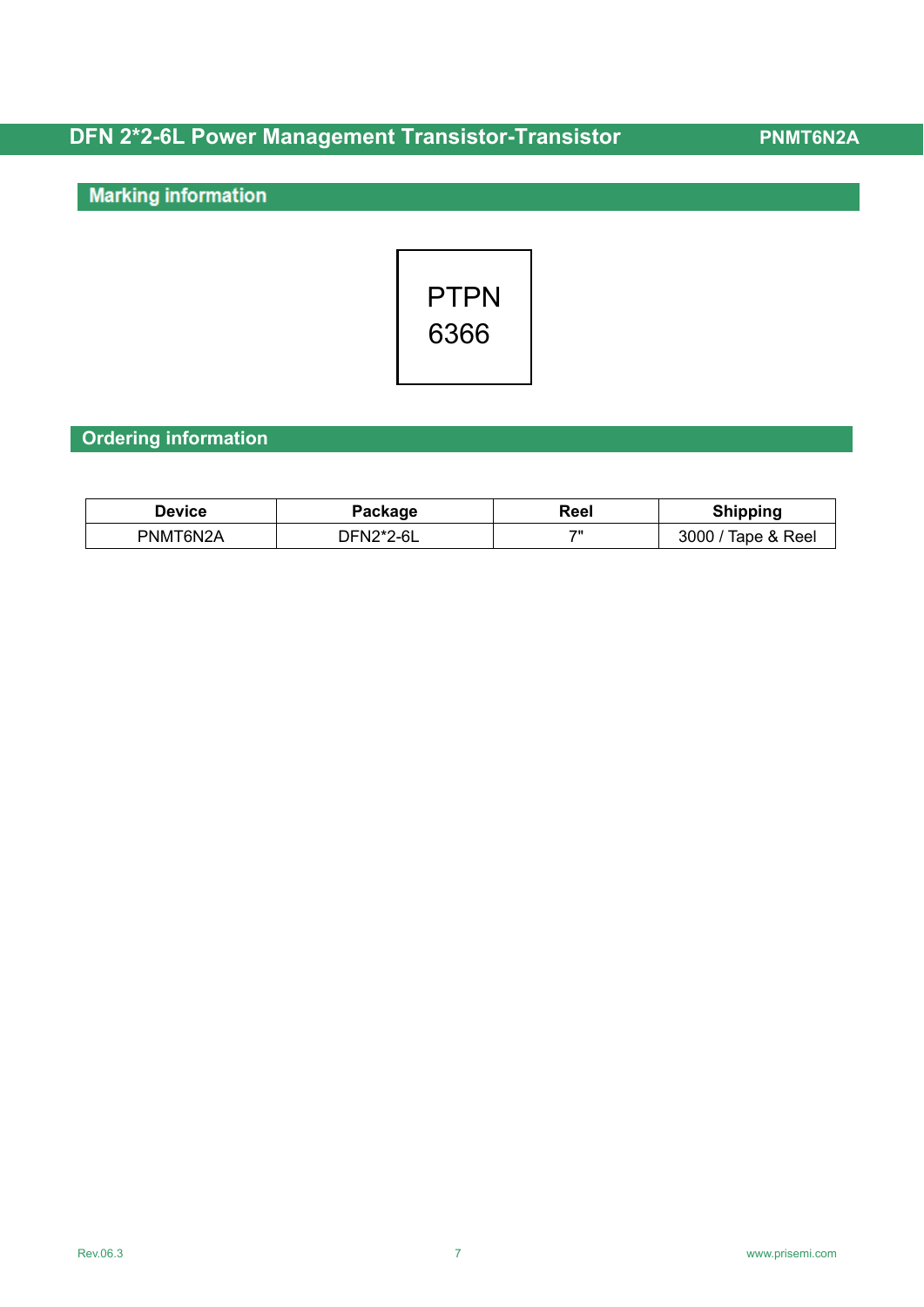## **Marking information**



## **Ordering information**

| <b>Device</b> | Package   | Reel | <b>Shipping</b>     |
|---------------|-----------|------|---------------------|
| PNMT6N2A      | DFN2*2-6L | 711  | Tape & Reel<br>3000 |